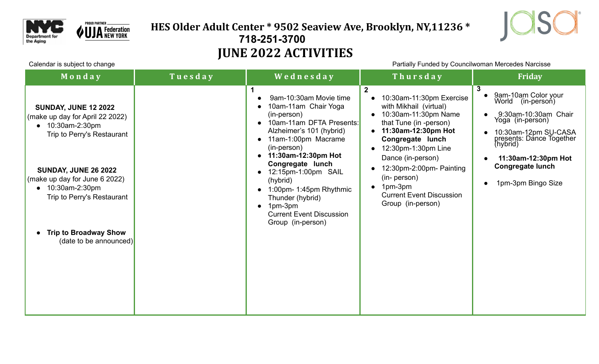

### **HES Older Adult Center \* 9502 Seaview Ave, Brooklyn, NY,11236 \* 718-251-3700 JUNE 2022 ACTIVITIES**



Calendar is subject to change example the change of the example of the Partially Funded by Councilwoman Mercedes Narcisse

| Monday                                                                                                                                                                                                                                                                                                                          | Tuesday | Wednesday                                                                                                                                                                                                                                                                                                                                                                     | Thursday                                                                                                                                                                                                                                                                                                                                | <b>Friday</b>                                                                                                                                                                                                                                     |
|---------------------------------------------------------------------------------------------------------------------------------------------------------------------------------------------------------------------------------------------------------------------------------------------------------------------------------|---------|-------------------------------------------------------------------------------------------------------------------------------------------------------------------------------------------------------------------------------------------------------------------------------------------------------------------------------------------------------------------------------|-----------------------------------------------------------------------------------------------------------------------------------------------------------------------------------------------------------------------------------------------------------------------------------------------------------------------------------------|---------------------------------------------------------------------------------------------------------------------------------------------------------------------------------------------------------------------------------------------------|
| <b>SUNDAY, JUNE 12 2022</b><br>(make up day for April 22 2022)<br>10:30am-2:30pm<br>$\bullet$<br>Trip to Perry's Restaurant<br><b>SUNDAY, JUNE 26 2022</b><br>(make up day for June 6 2022)<br>10:30am-2:30pm<br>$\bullet$<br>Trip to Perry's Restaurant<br><b>Trip to Broadway Show</b><br>$\bullet$<br>(date to be announced) |         | 1<br>9am-10:30am Movie time<br>10am-11am Chair Yoga<br>(in-person)<br>10am-11am DFTA Presents:<br>Alzheimer's 101 (hybrid)<br>11am-1:00pm Macrame<br>(in-person)<br>11:30am-12:30pm Hot<br>Congregate lunch<br>12:15pm-1:00pm SAIL<br>$\bullet$<br>(hybrid)<br>1:00pm- 1:45pm Rhythmic<br>Thunder (hybrid)<br>1pm-3pm<br><b>Current Event Discussion</b><br>Group (in-person) | $\mathbf{2}$<br>10:30am-11:30pm Exercise<br>with Mikhail (virtual)<br>10:30am-11:30pm Name<br>that Tune (in -person)<br>11:30am-12:30pm Hot<br>Congregate lunch<br>12:30pm-1:30pm Line<br>Dance (in-person)<br>12:30pm-2:00pm- Painting<br>(in- person)<br>1pm-3pm<br>$\bullet$<br><b>Current Event Discussion</b><br>Group (in-person) | 3<br>9am-10am Color your<br>(in-persoń)<br>World<br>9:30am-10:30am Chair<br>Yoga (in-person)<br>10:30am-12pm SU-CASA<br>presents: Dance Together<br>(hybrid)<br>11:30am-12:30pm Hot<br><b>Congregate lunch</b><br>1pm-3pm Bingo Size<br>$\bullet$ |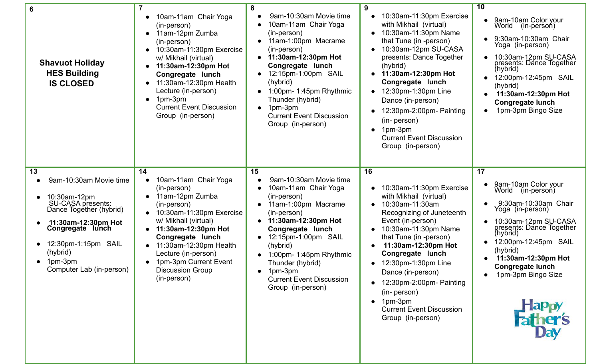| 6<br><b>Shavuot Holiday</b><br><b>HES Building</b><br><b>IS CLOSED</b>                                                                                                                                            | 10am-11am Chair Yoga<br>(in-person)<br>11am-12pm Zumba<br>$\bullet$<br>(in-person)<br>10:30am-11:30pm Exercise<br>$\bullet$<br>w/ Mikhail (virtual)<br>11:30am-12:30pm Hot<br>$\bullet$<br>Congregate lunch<br>11:30am-12:30pm Health<br>$\bullet$<br>Lecture (in-person)<br>1pm-3pm<br>$\bullet$<br><b>Current Event Discussion</b><br>Group (in-person) | 8<br>9am-10:30am Movie time<br>10am-11am Chair Yoga<br>(in-person)<br>11am-1:00pm Macrame<br>$\bullet$<br>(in-person)<br>11:30am-12:30pm Hot<br>$\bullet$<br>Congregate lunch<br>12:15pm-1:00pm SAIL<br>(hybrid)<br>1:00pm- 1:45pm Rhythmic<br>$\bullet$<br>Thunder (hybrid)<br>1pm-3pm<br><b>Current Event Discussion</b><br>Group (in-person)               | 9<br>10:30am-11:30pm Exercise<br>with Mikhail (virtual)<br>10:30am-11:30pm Name<br>that Tune (in -person)<br>10:30am-12pm SU-CASA<br>presents: Dance Together<br>(hybrid)<br>11:30am-12:30pm Hot<br>$\bullet$<br>Congregate lunch<br>12:30pm-1:30pm Line<br>$\bullet$<br>Dance (in-person)<br>12:30pm-2:00pm- Painting<br>(in- person)<br>1pm-3pm<br>$\bullet$<br><b>Current Event Discussion</b><br>Group (in-person)                           | 10<br>9am-10am Color your<br>World (in-person)<br>9:30am-10:30am Chair<br>Yoga (in-person)<br>10:30am-12pm SU-CASA<br>presents: Dance Together<br>(hybrid)<br>12:00pm-12:45pm SAIL<br>(hybrid)<br>11:30am-12:30pm Hot<br><b>Congregate lunch</b><br>1pm-3pm Bingo Size                                                     |
|-------------------------------------------------------------------------------------------------------------------------------------------------------------------------------------------------------------------|-----------------------------------------------------------------------------------------------------------------------------------------------------------------------------------------------------------------------------------------------------------------------------------------------------------------------------------------------------------|---------------------------------------------------------------------------------------------------------------------------------------------------------------------------------------------------------------------------------------------------------------------------------------------------------------------------------------------------------------|--------------------------------------------------------------------------------------------------------------------------------------------------------------------------------------------------------------------------------------------------------------------------------------------------------------------------------------------------------------------------------------------------------------------------------------------------|----------------------------------------------------------------------------------------------------------------------------------------------------------------------------------------------------------------------------------------------------------------------------------------------------------------------------|
| 13<br>9am-10:30am Movie time<br>10:30am-12pm<br>SU-CASA presents:<br>Dance Together (hybrid)<br>11:30am-12:30pm Hot<br>Congregate lunch<br>12:30pm-1:15pm SAIL<br>(hybrid)<br>1pm-3pm<br>Computer Lab (in-person) | 14<br>10am-11am Chair Yoga<br>(in-person)<br>11am-12pm Zumba<br>$\bullet$<br>(in-person)<br>• 10:30am-11:30pm Exercise<br>w/ Mikhail (virtual)<br>11:30am-12:30pm Hot<br>$\bullet$<br>Congregate lunch<br>11:30am-12:30pm Health<br>$\bullet$<br>Lecture (in-person)<br>1pm-3pm Current Event<br><b>Discussion Group</b><br>(in-person)                   | 15<br>9am-10:30am Movie time<br>10am-11am Chair Yoga<br>(in-person)<br>11am-1:00pm Macrame<br>$\bullet$<br>(in-person)<br>11:30am-12:30pm Hot<br>$\bullet$<br>Congregate lunch<br>12:15pm-1:00pm SAIL<br>$\bullet$<br>(hybrid)<br>1:00pm- 1:45pm Rhythmic<br>$\bullet$<br>Thunder (hybrid)<br>1pm-3pm<br><b>Current Event Discussion</b><br>Group (in-person) | 16<br>10:30am-11:30pm Exercise<br>with Mikhail (virtual)<br>10:30am-11:30am<br>$\bullet$<br>Recognizing of Juneteenth<br>Event (in-person)<br>10:30am-11:30pm Name<br>that Tune (in -person)<br>11:30am-12:30pm Hot<br>$\bullet$<br>Congregate lunch<br>12:30pm-1:30pm Line<br>$\bullet$<br>Dance (in-person)<br>$\bullet$ 12:30pm-2:00pm- Painting<br>(in- person)<br>$\bullet$ 1pm-3pm<br><b>Current Event Discussion</b><br>Group (in-person) | 17<br>9am-10am Color your<br>World<br>(in-persoń)<br>9:30am-10:30am Chair<br>Yoga (in-person)<br>10:30am-12pm SU-CASA<br>presents: Dance Together<br>(hybrid)<br>12:00pm-12:45pm SAIL<br>(hybrid)<br>11:30am-12:30pm Hot<br><b>Congregate lunch</b><br>1pm-3pm Bingo Size<br>$\bullet$<br><b>Happy<br/>Father's</b><br>Day |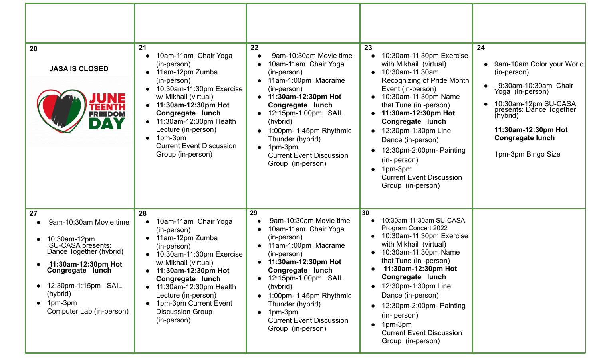| 20<br><b>JASA IS CLOSED</b><br><b>FREEDOM</b><br>DAY                                                                                                                                                                     | 21<br>10am-11am Chair Yoga<br>(in-person)<br>11am-12pm Zumba<br>(in-person)<br>10:30am-11:30pm Exercise<br>$\bullet$<br>w/ Mikhail (virtual)<br>11:30am-12:30pm Hot<br>$\bullet$<br>Congregate lunch<br>11:30am-12:30pm Health<br>$\bullet$<br>Lecture (in-person)<br>1pm-3pm<br>$\bullet$<br><b>Current Event Discussion</b><br>Group (in-person) | 22<br>9am-10:30am Movie time<br>10am-11am Chair Yoga<br>(in-person)<br>11am-1:00pm Macrame<br>(in-person)<br>11:30am-12:30pm Hot<br>Congregate lunch<br>12:15pm-1:00pm SAIL<br>(hybrid)<br>1:00pm-1:45pm Rhythmic<br>Thunder (hybrid)<br>1pm-3pm<br><b>Current Event Discussion</b><br>Group (in-person)              | 23<br>10:30am-11:30pm Exercise<br>with Mikhail (virtual)<br>10:30am-11:30am<br>Recognizing of Pride Month<br>Event (in-person)<br>10:30am-11:30pm Name<br>that Tune (in -person)<br>11:30am-12:30pm Hot<br>Congregate lunch<br>12:30pm-1:30pm Line<br>$\bullet$<br>Dance (in-person)<br>12:30pm-2:00pm- Painting<br>(in- person)<br>1pm-3pm<br>$\bullet$<br><b>Current Event Discussion</b><br>Group (in-person) | 24<br>9am-10am Color your World<br>(in-person)<br>9:30am-10:30am Chair<br>Yoga (in-person)<br>10:30am-12pm SU-CASA<br>presents: Dance Together<br>(hybrid)<br>11:30am-12:30pm Hot<br><b>Congregate lunch</b><br>1pm-3pm Bingo Size |
|--------------------------------------------------------------------------------------------------------------------------------------------------------------------------------------------------------------------------|----------------------------------------------------------------------------------------------------------------------------------------------------------------------------------------------------------------------------------------------------------------------------------------------------------------------------------------------------|-----------------------------------------------------------------------------------------------------------------------------------------------------------------------------------------------------------------------------------------------------------------------------------------------------------------------|------------------------------------------------------------------------------------------------------------------------------------------------------------------------------------------------------------------------------------------------------------------------------------------------------------------------------------------------------------------------------------------------------------------|------------------------------------------------------------------------------------------------------------------------------------------------------------------------------------------------------------------------------------|
| 27<br>9am-10:30am Movie time<br>10:30am-12pm<br><b>SU-CASA presents:</b><br>Dance Together (hybrid)<br>11:30am-12:30pm Hot<br>Congregate lunch<br>12:30pm-1:15pm SAIL<br>(hybrid)<br>1pm-3pm<br>Computer Lab (in-person) | 28<br>10am-11am Chair Yoga<br>(in-person)<br>11am-12pm Zumba<br>$\bullet$<br>(in-person)<br>10:30am-11:30pm Exercise<br>$\bullet$<br>w/ Mikhail (virtual)<br>11:30am-12:30pm Hot<br>Congregate lunch<br>11:30am-12:30pm Health<br>$\bullet$<br>Lecture (in-person)<br>1pm-3pm Current Event<br><b>Discussion Group</b><br>(in-person)              | 29<br>9am-10:30am Movie time<br>10am-11am Chair Yoga<br>(in-person)<br>11am-1:00pm Macrame<br>(in-person)<br>11:30am-12:30pm Hot<br>Congregate lunch<br>• 12:15pm-1:00pm SAIL<br>(hybrid)<br>1:00pm- 1:45pm Rhythmic<br>Thunder (hybrid)<br>$\bullet$ 1pm-3pm<br><b>Current Event Discussion</b><br>Group (in-person) | 30<br>10:30am-11:30am SU-CASA<br>Program Concert 2022<br>10:30am-11:30pm Exercise<br>with Mikhail (virtual)<br>10:30am-11:30pm Name<br>that Tune (in -person)<br>11:30am-12:30pm Hot<br>Congregate lunch<br>12:30pm-1:30pm Line<br>Dance (in-person)<br>12:30pm-2:00pm- Painting<br>(in- person)<br>1pm-3pm<br><b>Current Event Discussion</b><br>Group (in-person)                                              |                                                                                                                                                                                                                                    |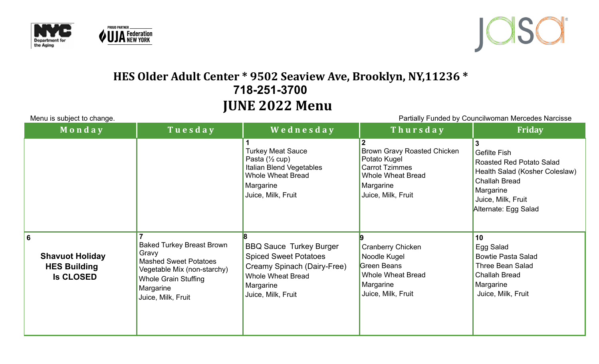





## **HES Older Adult Center \* 9502 Seaview Ave, Brooklyn, NY,11236 \* 718-251-3700 JUNE 2022 Menu**

| Menu is subject to change.                                             |                                                                                                                                                                            | Partially Funded by Councilwoman Mercedes Narcisse                                                                                                           |                                                                                                                                     |                                                                                                                                                               |
|------------------------------------------------------------------------|----------------------------------------------------------------------------------------------------------------------------------------------------------------------------|--------------------------------------------------------------------------------------------------------------------------------------------------------------|-------------------------------------------------------------------------------------------------------------------------------------|---------------------------------------------------------------------------------------------------------------------------------------------------------------|
| Monday                                                                 | Tuesday                                                                                                                                                                    | Wednesday                                                                                                                                                    | Thursday                                                                                                                            | <b>Friday</b>                                                                                                                                                 |
|                                                                        |                                                                                                                                                                            | <b>Turkey Meat Sauce</b><br>Pasta $(\frac{1}{2}$ cup)<br>Italian Blend Vegetables<br><b>Whole Wheat Bread</b><br>Margarine<br>Juice, Milk, Fruit             | Brown Gravy Roasted Chicken<br>Potato Kugel<br><b>Carrot Tzimmes</b><br><b>Whole Wheat Bread</b><br>Margarine<br>Juice, Milk, Fruit | Gefilte Fish<br>Roasted Red Potato Salad<br>Health Salad (Kosher Coleslaw)<br><b>Challah Bread</b><br>Margarine<br>Juice, Milk, Fruit<br>Alternate: Egg Salad |
| 6<br><b>Shavuot Holiday</b><br><b>HES Building</b><br><b>Is CLOSED</b> | <b>Baked Turkey Breast Brown</b><br>Gravy<br><b>Mashed Sweet Potatoes</b><br>Vegetable Mix (non-starchy)<br><b>Whole Grain Stuffing</b><br>Margarine<br>Juice, Milk, Fruit | <b>BBQ Sauce Turkey Burger</b><br><b>Spiced Sweet Potatoes</b><br>Creamy Spinach (Dairy-Free)<br><b>Whole Wheat Bread</b><br>Margarine<br>Juice, Milk, Fruit | <b>Cranberry Chicken</b><br>Noodle Kugel<br>Green Beans<br><b>Whole Wheat Bread</b><br>Margarine<br>Juice, Milk, Fruit              | 10<br>Egg Salad<br><b>Bowtie Pasta Salad</b><br><b>Three Bean Salad</b><br><b>Challah Bread</b><br>Margarine<br>Juice, Milk, Fruit                            |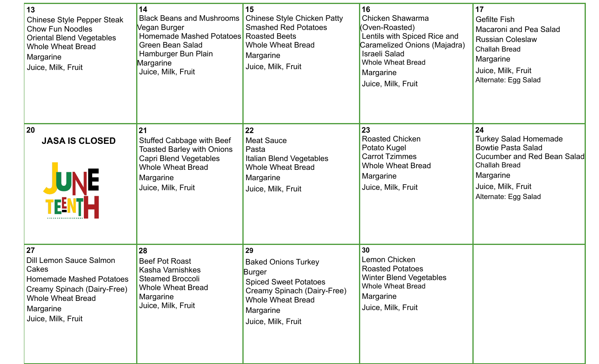| 13<br><b>Chinese Style Pepper Steak</b><br><b>Chow Fun Noodles</b><br><b>Oriental Blend Vegetables</b><br><b>Whole Wheat Bread</b><br>Margarine<br>Juice, Milk, Fruit          | 14<br><b>Black Beans and Mushrooms</b><br>Vegan Burger<br>Homemade Mashed Potatoes Roasted Beets<br><b>Green Bean Salad</b><br>Hamburger Bun Plain<br>Margarine<br>Juice, Milk, Fruit | 15<br><b>Chinese Style Chicken Patty</b><br><b>Smashed Red Potatoes</b><br><b>Whole Wheat Bread</b><br>Margarine<br>Juice, Milk, Fruit                                   | 16<br>Chicken Shawarma<br>(Oven-Roasted)<br>Lentils with Spiced Rice and<br>Caramelized Onions (Majadra)<br><b>Israeli Salad</b><br><b>Whole Wheat Bread</b><br>Margarine<br>Juice, Milk, Fruit | 17<br><b>Gefilte Fish</b><br><b>Macaroni and Pea Salad</b><br><b>Russian Coleslaw</b><br><b>Challah Bread</b><br>Margarine<br>Juice, Milk, Fruit<br>Alternate: Egg Salad          |
|--------------------------------------------------------------------------------------------------------------------------------------------------------------------------------|---------------------------------------------------------------------------------------------------------------------------------------------------------------------------------------|--------------------------------------------------------------------------------------------------------------------------------------------------------------------------|-------------------------------------------------------------------------------------------------------------------------------------------------------------------------------------------------|-----------------------------------------------------------------------------------------------------------------------------------------------------------------------------------|
| 20<br><b>JASA IS CLOSED</b><br><b>JUNE</b>                                                                                                                                     | 21<br>Stuffed Cabbage with Beef<br><b>Toasted Barley with Onions</b><br><b>Capri Blend Vegetables</b><br><b>Whole Wheat Bread</b><br>Margarine<br>Juice, Milk, Fruit                  | 22<br><b>Meat Sauce</b><br>Pasta<br>Italian Blend Vegetables<br><b>Whole Wheat Bread</b><br>Margarine<br>Juice, Milk, Fruit                                              | 23<br><b>Roasted Chicken</b><br>Potato Kugel<br><b>Carrot Tzimmes</b><br><b>Whole Wheat Bread</b><br>Margarine<br>Juice, Milk, Fruit                                                            | 24<br><b>Turkey Salad Homemade</b><br><b>Bowtie Pasta Salad</b><br>Cucumber and Red Bean Salad<br><b>Challah Bread</b><br>Margarine<br>Juice, Milk, Fruit<br>Alternate: Egg Salad |
| 27<br><b>Dill Lemon Sauce Salmon</b><br>Cakes<br><b>Homemade Mashed Potatoes</b><br>Creamy Spinach (Dairy-Free)<br><b>Whole Wheat Bread</b><br>Margarine<br>Juice, Milk, Fruit | 28<br><b>Beef Pot Roast</b><br>Kasha Varnishkes<br><b>Steamed Broccoli</b><br><b>Whole Wheat Bread</b><br>Margarine<br>Juice, Milk, Fruit                                             | 29<br><b>Baked Onions Turkey</b><br>Burger<br><b>Spiced Sweet Potatoes</b><br>Creamy Spinach (Dairy-Free)<br><b>Whole Wheat Bread</b><br>Margarine<br>Juice, Milk, Fruit | 30<br>Lemon Chicken<br><b>Roasted Potatoes</b><br><b>Winter Blend Vegetables</b><br><b>Whole Wheat Bread</b><br>Margarine<br>Juice, Milk, Fruit                                                 |                                                                                                                                                                                   |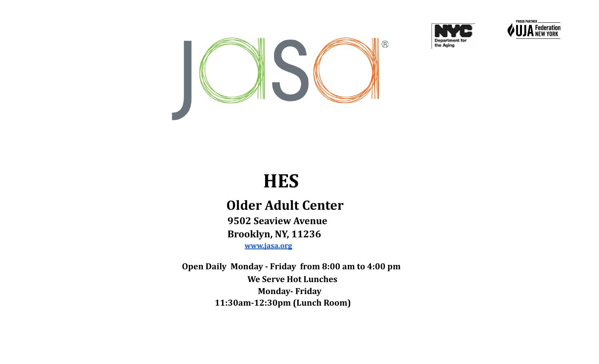





# **HES**

# **Older Adult Center**

**9502 Seaview Avenue Brooklyn, NY, 11236 [www.jasa.org](http://www.jasa.org)**

**Open Daily Monday - Friday from 8:00 am to 4:00 pm We Serve Hot Lunches Monday- Friday 11:30am-12:30pm (Lunch Room)**